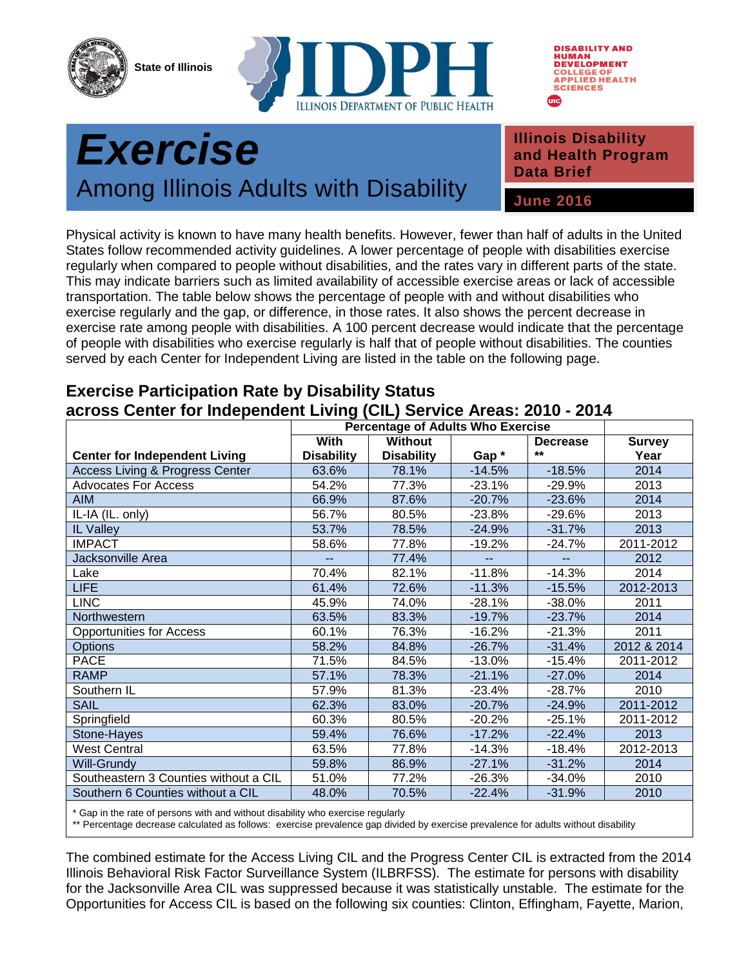**State of Illinois**





## *Exercise*  Among Illinois Adults with Disability **June 2016 Public Health**

**Illinois Disability and Health Program Data Brief**

Physical activity is known to have many health benefits. However, fewer than half of adults in the United States follow recommended activity guidelines. A lower percentage of people with disabilities exercise regularly when compared to people without disabilities, and the rates vary in different parts of the state. This may indicate barriers such as limited availability of accessible exercise areas or lack of accessible transportation. The table below shows the percentage of people with and without disabilities who exercise regularly and the gap, or difference, in those rates. It also shows the percent decrease in exercise rate among people with disabilities. A 100 percent decrease would indicate that the percentage of people with disabilities who exercise regularly is half that of people without disabilities. The counties served by each Center for Independent Living are listed in the table on the following page.

| <b>With</b> | Without                                                                                                                                                                                                                 |          |                 |               |
|-------------|-------------------------------------------------------------------------------------------------------------------------------------------------------------------------------------------------------------------------|----------|-----------------|---------------|
|             |                                                                                                                                                                                                                         |          | <b>Decrease</b> | <b>Survey</b> |
|             | <b>Disability</b>                                                                                                                                                                                                       | Gap*     | $***$           | Year          |
|             | 78.1%                                                                                                                                                                                                                   | $-14.5%$ | $-18.5%$        | 2014          |
|             | 77.3%                                                                                                                                                                                                                   | $-23.1%$ | $-29.9%$        | 2013          |
|             | 87.6%                                                                                                                                                                                                                   | $-20.7%$ | $-23.6%$        | 2014          |
|             | 80.5%                                                                                                                                                                                                                   | $-23.8%$ | $-29.6%$        | 2013          |
|             | 78.5%                                                                                                                                                                                                                   | $-24.9%$ | $-31.7%$        | 2013          |
|             | 77.8%                                                                                                                                                                                                                   | $-19.2%$ | $-24.7%$        | 2011-2012     |
|             | 77.4%                                                                                                                                                                                                                   |          |                 | 2012          |
|             | 82.1%                                                                                                                                                                                                                   | $-11.8%$ | $-14.3%$        | 2014          |
|             | 72.6%                                                                                                                                                                                                                   | $-11.3%$ | $-15.5%$        | 2012-2013     |
|             | 74.0%                                                                                                                                                                                                                   | $-28.1%$ | $-38.0%$        | 2011          |
|             | 83.3%                                                                                                                                                                                                                   | $-19.7%$ | $-23.7%$        | 2014          |
|             | 76.3%                                                                                                                                                                                                                   | $-16.2%$ | $-21.3%$        | 2011          |
|             | 84.8%                                                                                                                                                                                                                   | $-26.7%$ | $-31.4%$        | 2012 & 2014   |
|             | 84.5%                                                                                                                                                                                                                   | $-13.0%$ | $-15.4%$        | 2011-2012     |
|             | 78.3%                                                                                                                                                                                                                   | $-21.1%$ | $-27.0%$        | 2014          |
|             | 81.3%                                                                                                                                                                                                                   | $-23.4%$ | $-28.7%$        | 2010          |
|             | 83.0%                                                                                                                                                                                                                   | $-20.7%$ | $-24.9%$        | 2011-2012     |
|             | 80.5%                                                                                                                                                                                                                   | $-20.2%$ | $-25.1%$        | 2011-2012     |
|             | 76.6%                                                                                                                                                                                                                   | $-17.2%$ | $-22.4%$        | 2013          |
|             | 77.8%                                                                                                                                                                                                                   | $-14.3%$ | $-18.4%$        | 2012-2013     |
|             | 86.9%                                                                                                                                                                                                                   | $-27.1%$ | $-31.2%$        | 2014          |
|             | 77.2%                                                                                                                                                                                                                   | $-26.3%$ | $-34.0%$        | 2010          |
|             | 70.5%                                                                                                                                                                                                                   | $-22.4%$ | $-31.9%$        | 2010          |
|             | <b>Disability</b><br>63.6%<br>54.2%<br>66.9%<br>56.7%<br>53.7%<br>58.6%<br>70.4%<br>61.4%<br>45.9%<br>63.5%<br>60.1%<br>58.2%<br>71.5%<br>57.1%<br>57.9%<br>62.3%<br>60.3%<br>59.4%<br>63.5%<br>59.8%<br>51.0%<br>48.0% |          |                 |               |

## **Exercise Participation Rate by Disability Status across Center for Independent Living (CIL) Service Areas: 2010 - 2014**

\* Gap in the rate of persons with and without disability who exercise regularly

\*\* Percentage decrease calculated as follows: exercise prevalence gap divided by exercise prevalence for adults without disability

The combined estimate for the Access Living CIL and the Progress Center CIL is extracted from the 2014 Illinois Behavioral Risk Factor Surveillance System (ILBRFSS). The estimate for persons with disability for the Jacksonville Area CIL was suppressed because it was statistically unstable. The estimate for the Opportunities for Access CIL is based on the following six counties: Clinton, Effingham, Fayette, Marion,